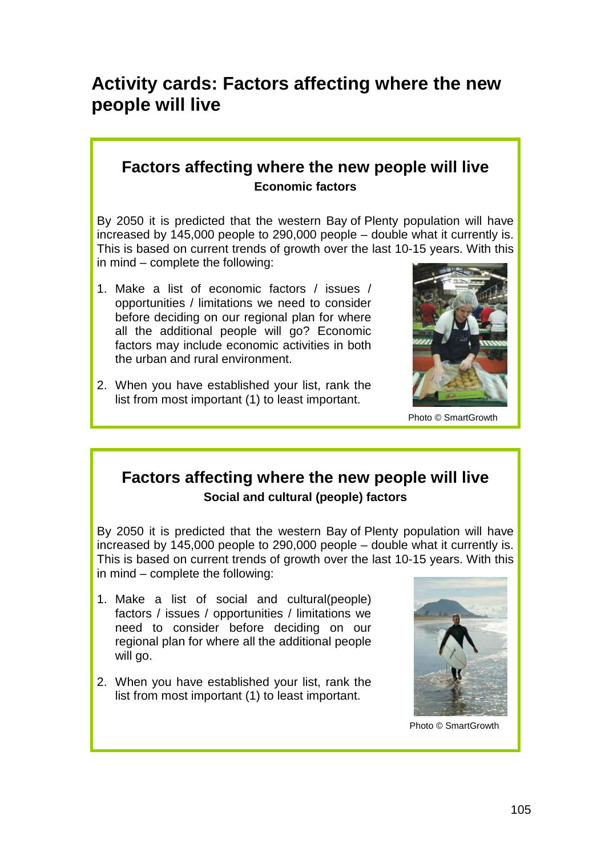# **Activity cards: Factors affecting where the new people will live**

#### **Factors affecting where the new people will live Economic factors**

By 2050 it is predicted that the western Bay of Plenty population will have increased by 145,000 people to 290,000 people – double what it currently is. This is based on current trends of growth over the last 10-15 years. With this in mind – complete the following:

- 1. Make a list of economic factors / issues / opportunities / limitations we need to consider before deciding on our regional plan for where all the additional people will go? Economic factors may include economic activities in both the urban and rural environment.
- 2. When you have established your list, rank the list from most important (1) to least important.



Photo © SmartGrowth

### **Factors affecting where the new people will live Social and cultural (people) factors**

By 2050 it is predicted that the western Bay of Plenty population will have increased by 145,000 people to 290,000 people – double what it currently is. This is based on current trends of growth over the last 10-15 years. With this in mind – complete the following:

- 1. Make a list of social and cultural(people) factors / issues / opportunities / limitations we need to consider before deciding on our regional plan for where all the additional people will go.
- 2. When you have established your list, rank the list from most important (1) to least important.



Photo © SmartGrowth